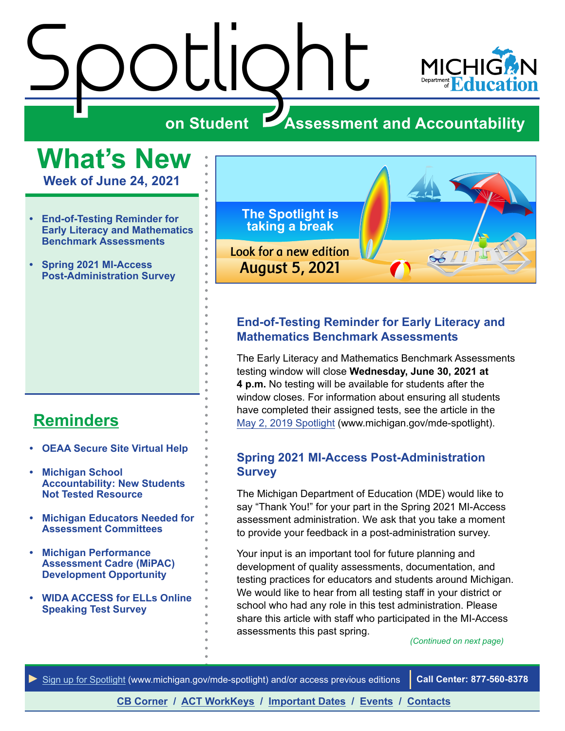# <span id="page-0-0"></span>Stotlight Spotlight Spotlight



#### **on Student Assessment and Accountability**

## **What's New**

**Week of June 24, 2021**

- **• End-of-Testing Reminder for Early Literacy and Mathematics Benchmark Assessments**
- **• Spring 2021 MI-Access Post-Administration Survey**

#### **[Reminders](#page-2-0)**

- **• [OEAA Secure Site Virtual Help](#page-2-1)**
- **• [Michigan School](#page-2-1)  [Accountability: New Students](#page-2-1)  [Not Tested Resource](#page-2-1)**
- **• [Michigan Educators Needed for](#page-3-0)  [Assessment Committees](#page-3-0)**
- **• [Michigan Performance](#page-3-0)  [Assessment Cadre \(MiPAC\)](#page-3-0)  [Development Opportunity](#page-3-0)**
- **• [WIDA ACCESS for ELLs Online](#page-4-0)  [Speaking Test Survey](#page-4-0)**



#### **End-of-Testing Reminder for Early Literacy and Mathematics Benchmark Assessments**

The Early Literacy and Mathematics Benchmark Assessments testing window will close **Wednesday, June 30, 2021 at 4 p.m.** No testing will be available for students after the window closes. For information about ensuring all students have completed their assigned tests, see the article in the [May 2, 2019 Spotlight](https://www.michigan.gov/documents/mde/Spotlight_5-2-19_654086_7.pdf) (www.michigan.gov/mde-spotlight).

#### **Spring 2021 MI-Access Post-Administration Survey**

The Michigan Department of Education (MDE) would like to say "Thank You!" for your part in the Spring 2021 MI-Access assessment administration. We ask that you take a moment to provide your feedback in a post-administration survey.

Your input is an important tool for future planning and development of quality assessments, documentation, and testing practices for educators and students around Michigan. We would like to hear from all testing staff in your district or school who had any role in this test administration. Please share this article with staff who participated in the MI-Access assessments this past spring.

*(Continued on next page)*



**[CB Corner](#page-5-0) / [ACT WorkKeys](#page-6-0) / [Important Dates](#page-7-0) / [Events](#page-8-0) / [Contacts](#page-9-0)**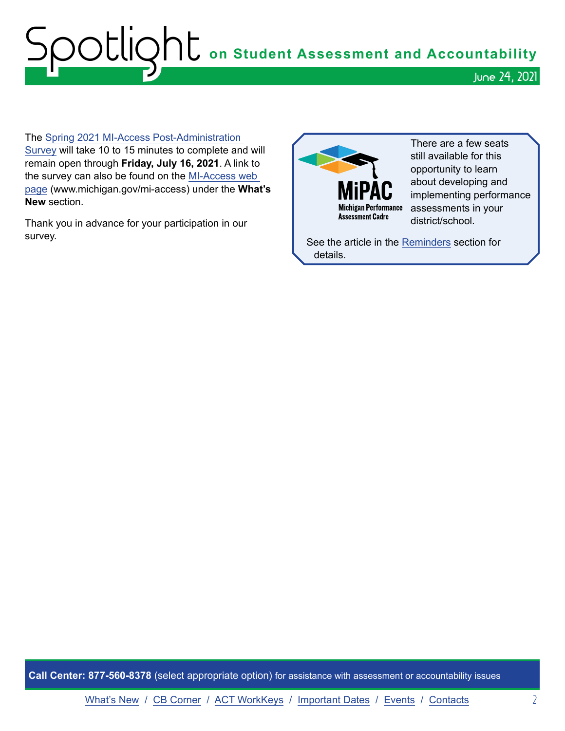# Spotlight **on Student Assessment and Accountability** June 24, 2021

The [Spring 2021 MI-Access Post-Administration](https://forms.office.com/Pages/ResponsePage.aspx?id=h3D71Xc3rUKWaoku9HIl0dUWn7DDrS1Etvc4ruZXnQRUM1dNTFFHNVVGUFpDUEZNQzFPNENXRUM3Ri4u)  [Survey](https://forms.office.com/Pages/ResponsePage.aspx?id=h3D71Xc3rUKWaoku9HIl0dUWn7DDrS1Etvc4ruZXnQRUM1dNTFFHNVVGUFpDUEZNQzFPNENXRUM3Ri4u) will take 10 to 15 minutes to complete and will remain open through **Friday, July 16, 2021**. A link to the survey can also be found on the [MI-Access web](http://www.michigan.gov/mi-access)  [page](http://www.michigan.gov/mi-access) (www.michigan.gov/mi-access) under the **What's New** section.

Thank you in advance for your participation in our survey.



There are a few seats still available for this opportunity to learn about developing and implementing performance assessments in your district/school.

See the article in the [Reminders](#page-3-0) section for details.

**Call Center: 877-560-8378** (select appropriate option) for assistance with assessment or accountability issues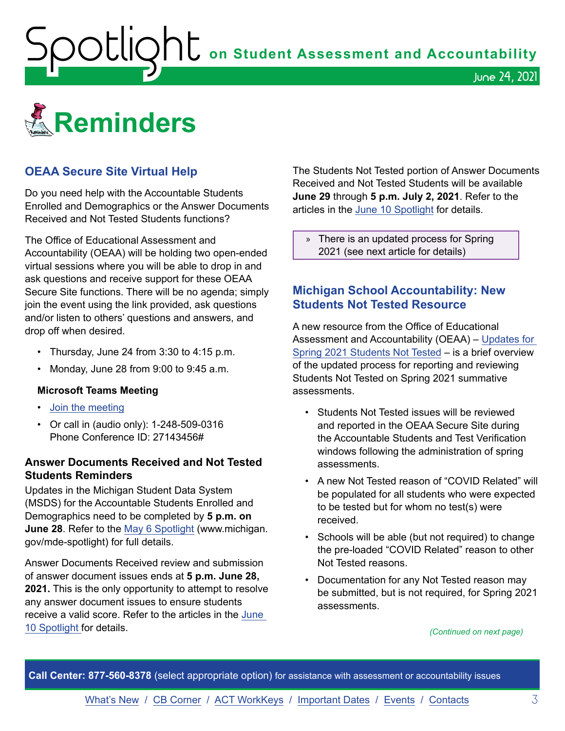<span id="page-2-1"></span>Spotlight **on Student Assessment and Accountability**

<span id="page-2-0"></span>

#### **OEAA Secure Site Virtual Help**

Do you need help with the Accountable Students Enrolled and Demographics or the Answer Documents Received and Not Tested Students functions?

The Office of Educational Assessment and Accountability (OEAA) will be holding two open-ended virtual sessions where you will be able to drop in and ask questions and receive support for these OEAA Secure Site functions. There will be no agenda; simply join the event using the link provided, ask questions and/or listen to others' questions and answers, and drop off when desired.

- Thursday, June 24 from 3:30 to 4:15 p.m.
- Monday, June 28 from 9:00 to 9:45 a.m.

#### **Microsoft Teams Meeting**

- [Join the meeting](https://teams.microsoft.com/l/meetup-join/19%3ameeting_MzAyYzkwNTctMGU0ZC00Y2ZmLWFjNTEtZTRhYTQzN2UyMGM5%40thread.v2/0?context=%7b%22Tid%22%3a%22d5fb7087-3777-42ad-966a-892ef47225d1%22%2c%22Oid%22%3a%226100384c-b357-44a8-8e52-653af03855b7%22%7d)
- Or call in (audio only): 1-248-509-0316 Phone Conference ID: 27143456#

#### **Answer Documents Received and Not Tested Students Reminders**

Updates in the Michigan Student Data System (MSDS) for the Accountable Students Enrolled and Demographics need to be completed by **5 p.m. on June 28**. Refer to the [May 6 Spotlight](https://www.michigan.gov/documents/mde/Spotlight_5-6-21_724419_7.pdf) (www.michigan. gov/mde-spotlight) for full details.

Answer Documents Received review and submission of answer document issues ends at **5 p.m. June 28, 2021.** This is the only opportunity to attempt to resolve any answer document issues to ensure students receive a valid score. Refer to the articles in the [June](https://www.michigan.gov/documents/mde/Spotlight_6-10-21_727553_7.pdf)  [10 Spotlight](https://www.michigan.gov/documents/mde/Spotlight_6-10-21_727553_7.pdf) for details.

The Students Not Tested portion of Answer Documents Received and Not Tested Students will be available **June 29** through **5 p.m. July 2, 2021**. Refer to the articles in the [June 10 Spotlight](https://www.michigan.gov/documents/mde/Spotlight_6-10-21_727553_7.pdf) for details.

June 24, 2021

» There is an updated process for Spring 2021 (see next article for details)

#### **Michigan School Accountability: New Students Not Tested Resource**

A new resource from the Office of Educational Assessment and Accountability (OEAA) – [Updates for](https://www.michigan.gov/documents/mde/Updates_for_Spring_2021_Students_Not_Tested_724270_7.pdf)  [Spring 2021 Students Not Tested](https://www.michigan.gov/documents/mde/Updates_for_Spring_2021_Students_Not_Tested_724270_7.pdf) – is a brief overview of the updated process for reporting and reviewing Students Not Tested on Spring 2021 summative assessments.

- Students Not Tested issues will be reviewed and reported in the OEAA Secure Site during the Accountable Students and Test Verification windows following the administration of spring assessments.
- A new Not Tested reason of "COVID Related" will be populated for all students who were expected to be tested but for whom no test(s) were received.
- Schools will be able (but not required) to change the pre-loaded "COVID Related" reason to other Not Tested reasons.
- Documentation for any Not Tested reason may be submitted, but is not required, for Spring 2021 assessments.

*(Continued on next page)*

**Call Center: 877-560-8378** (select appropriate option) for assistance with assessment or accountability issues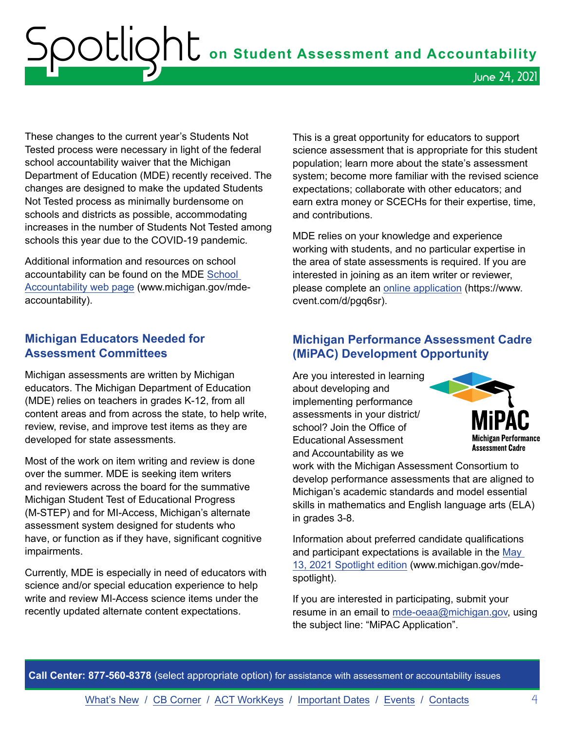<span id="page-3-0"></span> ${\sf SOL}$   ${\sf col}$  on Student Assessment and Accountability June 24, 2021

These changes to the current year's Students Not Tested process were necessary in light of the federal school accountability waiver that the Michigan Department of Education (MDE) recently received. The changes are designed to make the updated Students Not Tested process as minimally burdensome on schools and districts as possible, accommodating increases in the number of Students Not Tested among schools this year due to the COVID-19 pandemic.

Additional information and resources on school accountability can be found on the MDE [School](http://www.michigan.gov/mde-accountability)  [Accountability web page](http://www.michigan.gov/mde-accountability) (www.michigan.gov/mdeaccountability).

#### **Michigan Educators Needed for Assessment Committees**

Michigan assessments are written by Michigan educators. The Michigan Department of Education (MDE) relies on teachers in grades K-12, from all content areas and from across the state, to help write, review, revise, and improve test items as they are developed for state assessments.

Most of the work on item writing and review is done over the summer. MDE is seeking item writers and reviewers across the board for the summative Michigan Student Test of Educational Progress (M-STEP) and for MI-Access, Michigan's alternate assessment system designed for students who have, or function as if they have, significant cognitive impairments.

Currently, MDE is especially in need of educators with science and/or special education experience to help write and review MI-Access science items under the recently updated alternate content expectations.

This is a great opportunity for educators to support science assessment that is appropriate for this student population; learn more about the state's assessment system; become more familiar with the revised science expectations; collaborate with other educators; and earn extra money or SCECHs for their expertise, time, and contributions.

MDE relies on your knowledge and experience working with students, and no particular expertise in the area of state assessments is required. If you are interested in joining as an item writer or reviewer, please complete an [online application](https://www.cvent.com/d/pgq6sr) (https://www. cvent.com/d/pgq6sr).

#### **Michigan Performance Assessment Cadre (MiPAC) Development Opportunity**

Are you interested in learning about developing and implementing performance assessments in your district/ school? Join the Office of Educational Assessment and Accountability as we



work with the Michigan Assessment Consortium to develop performance assessments that are aligned to Michigan's academic standards and model essential skills in mathematics and English language arts (ELA) in grades 3-8.

Information about preferred candidate qualifications and participant expectations is available in the [May](https://www.michigan.gov/documents/mde/Spotlight_5-13-21_725244_7.pdf)  [13, 2021 Spotlight](https://www.michigan.gov/documents/mde/Spotlight_5-13-21_725244_7.pdf) edition (www.michigan.gov/mdespotlight).

If you are interested in participating, submit your resume in an email to [mde-oeaa@michigan.gov](mailto:mde-oeaa%40michigan.gov?subject=MiPAC%20Application), using the subject line: "MiPAC Application".

**Call Center: 877-560-8378** (select appropriate option) for assistance with assessment or accountability issues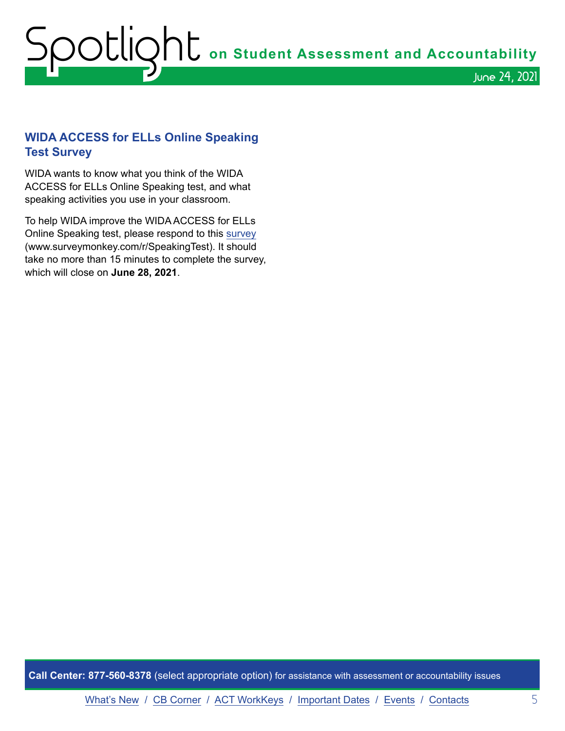# <span id="page-4-0"></span>Spotlight **on Student Assessment and Accountability** June 24, 2021

#### **WIDA ACCESS for ELLs Online Speaking Test Survey**

WIDA wants to know what you think of the WIDA ACCESS for ELLs Online Speaking test, and what speaking activities you use in your classroom.

To help WIDA improve the WIDA ACCESS for ELLs Online Speaking test, please respond to this [survey](https://www.surveymonkey.com/r/SpeakingTest) (www.surveymonkey.com/r/SpeakingTest). It should take no more than 15 minutes to complete the survey, which will close on **June 28, 2021**.

**Call Center: 877-560-8378** (select appropriate option) for assistance with assessment or accountability issues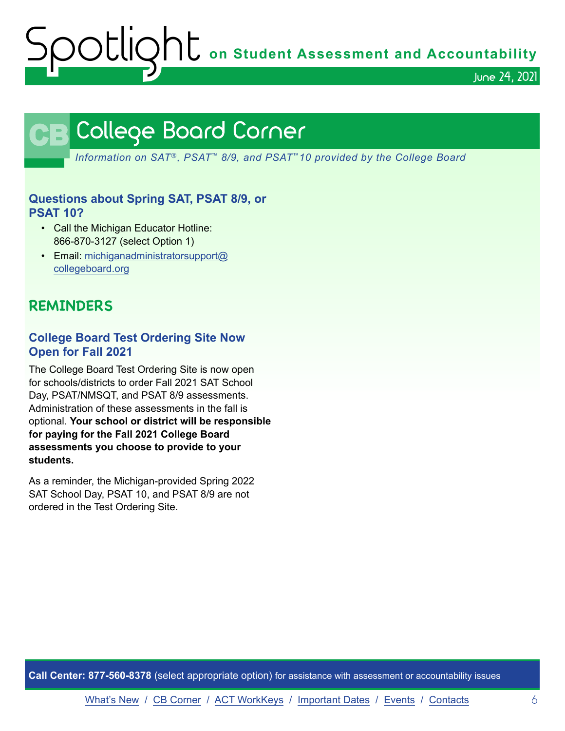OOCIQht on Student Assessment and Accountability

June 24, 2021

## **CB** College Board Corner

<span id="page-5-0"></span>*Information on SAT*®*, PSAT*™ *8/9, and PSAT*™*10 provided by the College Board*

#### **Questions about Spring SAT, PSAT 8/9, or PSAT 10?**

- Call the Michigan Educator Hotline: 866-870-3127 (select Option 1)
- Email: [michiganadministratorsupport@](mailto:michiganadministratorsupport%40collegeboard.org?subject=) [collegeboard.org](mailto:michiganadministratorsupport%40collegeboard.org?subject=)

#### **REMINDERS**

#### **College Board Test Ordering Site Now Open for Fall 2021**

The College Board Test Ordering Site is now open for schools/districts to order Fall 2021 SAT School Day, PSAT/NMSQT, and PSAT 8/9 assessments. Administration of these assessments in the fall is optional. **Your school or district will be responsible for paying for the Fall 2021 College Board assessments you choose to provide to your students.**

As a reminder, the Michigan-provided Spring 2022 SAT School Day, PSAT 10, and PSAT 8/9 are not ordered in the Test Ordering Site.

**Call Center: 877-560-8378** (select appropriate option) for assistance with assessment or accountability issues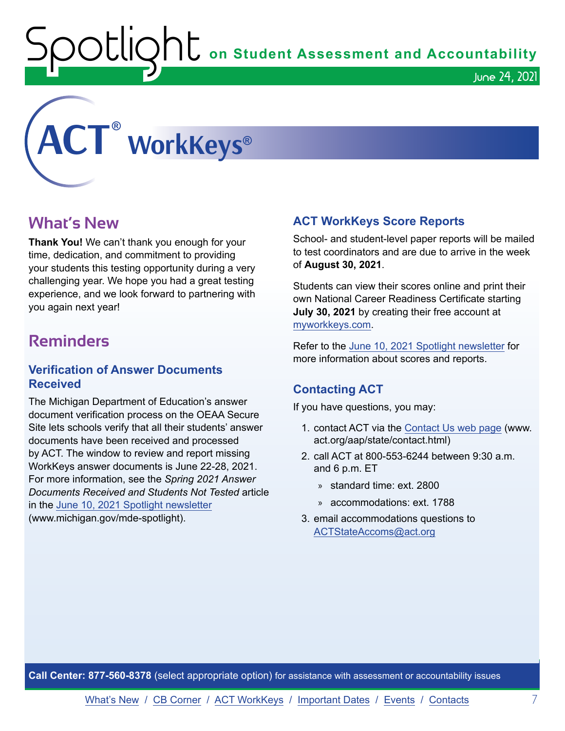Spotlight **on Student Assessment and Accountability**

June 24, 2021

# <span id="page-6-0"></span>**ACT ® WorkKeys®**

#### **What's New**

**Thank You!** We can't thank you enough for your time, dedication, and commitment to providing your students this testing opportunity during a very challenging year. We hope you had a great testing experience, and we look forward to partnering with you again next year!

#### **Reminders**

#### **Verification of Answer Documents Received**

The Michigan Department of Education's answer document verification process on the OEAA Secure Site lets schools verify that all their students' answer documents have been received and processed by ACT. The window to review and report missing WorkKeys answer documents is June 22-28, 2021. For more information, see the *Spring 2021 Answer Documents Received and Students Not Tested* article in the [June 10, 2021 Spotlight newsletter](https://www.michigan.gov/documents/mde/Spotlight_6-10-21_727553_7.pdf) (www.michigan.gov/mde-spotlight).

#### **ACT WorkKeys Score Reports**

School- and student-level paper reports will be mailed to test coordinators and are due to arrive in the week of **August 30, 2021**.

Students can view their scores online and print their own National Career Readiness Certificate starting **July 30, 2021** by creating their free account at [myworkkeys.com](http://www.myworkkeys.com).

Refer to the [June 10, 2021 Spotlight newsletter](https://www.michigan.gov/documents/mde/Spotlight_6-10-21_727553_7.pdf) for more information about scores and reports.

#### **Contacting ACT**

If you have questions, you may:

- 1. contact ACT via the [Contact Us web page](http://www.act.org/aap/state/contact.html) (www. act.org/aap/state/contact.html)
- 2. call ACT at 800-553-6244 between 9:30 a.m. and 6 p.m. ET
	- » standard time: ext. 2800
	- » accommodations: ext. 1788
- 3. email accommodations questions to [ACTStateAccoms@act.org](mailto:ACTStateAccoms%40act.org?subject=)

**Call Center: 877-560-8378** (select appropriate option) for assistance with assessment or accountability issues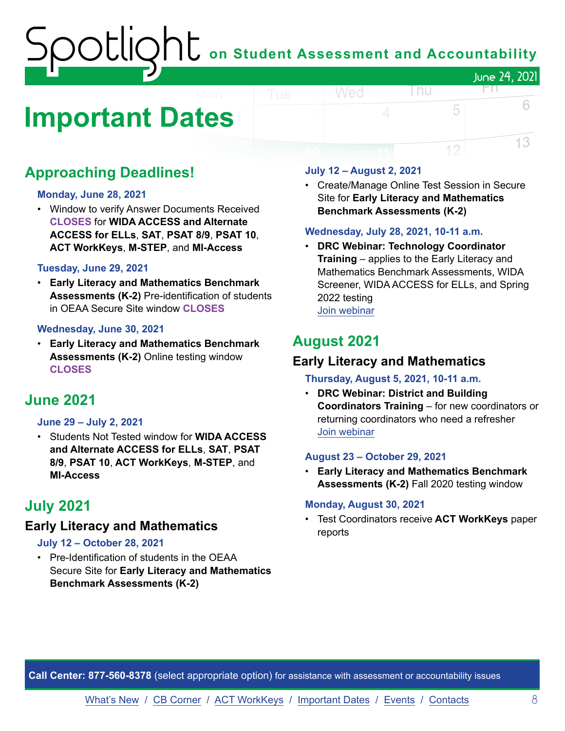### Spotlight **on Student Assessment and Accountability** June 24, 2021 FП.

# <span id="page-7-0"></span>**Important Dates**

#### **Approaching Deadlines!**

#### **Monday, June 28, 2021**

• Window to verify Answer Documents Received **CLOSES** for **WIDA ACCESS and Alternate ACCESS for ELLs**, **SAT**, **PSAT 8/9**, **PSAT 10**, **ACT WorkKeys**, **M-STEP**, and **MI-Access**

#### **Tuesday, June 29, 2021**

• **Early Literacy and Mathematics Benchmark Assessments (K-2)** Pre-identification of students in OEAA Secure Site window **CLOSES**

#### **Wednesday, June 30, 2021**

• **Early Literacy and Mathematics Benchmark Assessments (K-2)** Online testing window **CLOSES**

#### **June 2021**

#### **June 29 – July 2, 2021**

• Students Not Tested window for **WIDA ACCESS and Alternate ACCESS for ELLs**, **SAT**, **PSAT 8/9**, **PSAT 10**, **ACT WorkKeys**, **M-STEP**, and **MI-Access**

#### **July 2021**

#### **Early Literacy and Mathematics**

#### **July 12 – October 28, 2021**

• Pre-Identification of students in the OEAA Secure Site for **Early Literacy and Mathematics Benchmark Assessments (K-2)** 

#### **July 12 – August 2, 2021**

Wed

• Create/Manage Online Test Session in Secure Site for **Early Literacy and Mathematics Benchmark Assessments (K-2)**

l nu

5

12

6

13

#### **Wednesday, July 28, 2021, 10-11 a.m.**

• **DRC Webinar: Technology Coordinator Training** – applies to the Early Literacy and Mathematics Benchmark Assessments, WIDA Screener, WIDA ACCESS for ELLs, and Spring 2022 testing

[Join webinar](https://datarecognitioncorp.zoom.us/j/94405940716)

#### **August 2021**

#### **Early Literacy and Mathematics**

#### **Thursday, August 5, 2021, 10-11 a.m.**

• **DRC Webinar: District and Building Coordinators Training** – for new coordinators or returning coordinators who need a refresher [Join webinar](https://datarecognitioncorp.zoom.us/j/93379694327)

#### **August 23 – October 29, 2021**

• **Early Literacy and Mathematics Benchmark Assessments (K-2)** Fall 2020 testing window

#### **Monday, August 30, 2021**

• Test Coordinators receive **ACT WorkKeys** paper reports

**Call Center: 877-560-8378** (select appropriate option) for assistance with assessment or accountability issues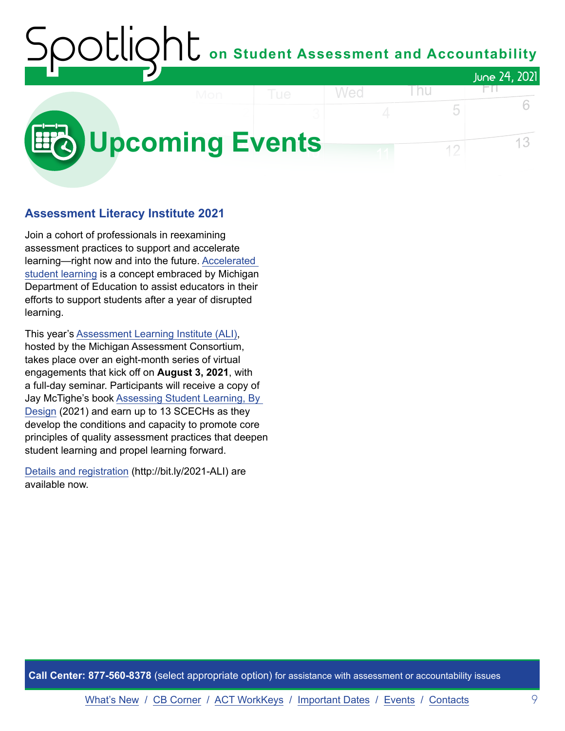#### on Student Assessment and Accountability June 24, 2021 Wed Thu FП.

<span id="page-8-0"></span>

#### **Assessment Literacy Institute 2021**

Join a cohort of professionals in reexamining assessment practices to support and accelerate learning—right now and into the future. [Accelerated](https://www.michigan.gov/mde/0,4615,7-140-81351-557696--,00.html)  [student learning](https://www.michigan.gov/mde/0,4615,7-140-81351-557696--,00.html) is a concept embraced by Michigan Department of Education to assist educators in their efforts to support students after a year of disrupted learning.

This year's [Assessment Learning Institute \(ALI\)](https://www.michiganassessmentconsortium.org/event/assessment-learning-institute-2021/), hosted by the Michigan Assessment Consortium, takes place over an eight-month series of virtual engagements that kick off on **August 3, 2021**, with a full-day seminar. Participants will receive a copy of Jay McTighe's book [Assessing Student Learning, By](https://www.tcpress.com/assessing-student-learning-by-design-9780807765401)  [Design](https://www.tcpress.com/assessing-student-learning-by-design-9780807765401) (2021) and earn up to 13 SCECHs as they develop the conditions and capacity to promote core principles of quality assessment practices that deepen student learning and propel learning forward.

[Details and registration](http://bit.ly/2021-ALI) (http://bit.ly/2021-ALI) are available now.

**Call Center: 877-560-8378** (select appropriate option) for assistance with assessment or accountability issues

[What's New](#page-0-0) / [CB Corner](#page-5-0) / [ACT WorkKeys](#page-6-0) / [Important Dates](#page-7-0) / [Events](#page-8-0) / [Contacts](#page-9-0) 9

6

13

5

12